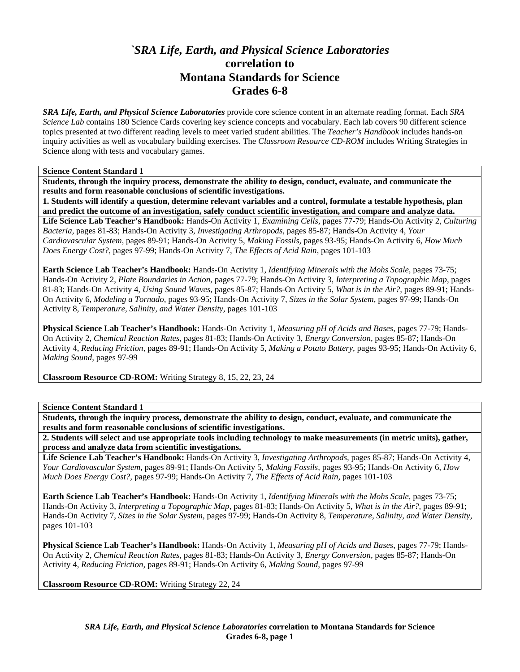## *`SRA Life, Earth, and Physical Science Laboratories*  **correlation to Montana Standards for Science Grades 6-8**

*SRA Life, Earth, and Physical Science Laboratories* provide core science content in an alternate reading format. Each *SRA Science Lab* contains 180 Science Cards covering key science concepts and vocabulary. Each lab covers 90 different science topics presented at two different reading levels to meet varied student abilities. The *Teacher's Handbook* includes hands-on inquiry activities as well as vocabulary building exercises. The *Classroom Resource CD-ROM* includes Writing Strategies in Science along with tests and vocabulary games.

## **Science Content Standard 1**

**Students, through the inquiry process, demonstrate the ability to design, conduct, evaluate, and communicate the results and form reasonable conclusions of scientific investigations.** 

**1. Students will identify a question, determine relevant variables and a control, formulate a testable hypothesis, plan and predict the outcome of an investigation, safely conduct scientific investigation, and compare and analyze data. Life Science Lab Teacher's Handbook:** Hands-On Activity 1, *Examining Cells,* pages 77-79; Hands-On Activity 2, *Culturing Bacteria,* pages 81-83; Hands-On Activity 3, *Investigating Arthropods,* pages 85-87; Hands-On Activity 4, *Your Cardiovascular System,* pages 89-91; Hands-On Activity 5, *Making Fossils,* pages 93-95; Hands-On Activity 6, *How Much Does Energy Cost?,* pages 97-99; Hands-On Activity 7, *The Effects of Acid Rain,* pages 101-103

**Earth Science Lab Teacher's Handbook:** Hands-On Activity 1, *Identifying Minerals with the Mohs Scale,* pages 73-75; Hands-On Activity 2, *Plate Boundaries in Action,* pages 77-79; Hands-On Activity 3, *Interpreting a Topographic Map,* pages 81-83; Hands-On Activity 4, *Using Sound Waves,* pages 85-87; Hands-On Activity 5, *What is in the Air?,* pages 89-91; Hands-On Activity 6, *Modeling a Tornado,* pages 93-95; Hands-On Activity 7, *Sizes in the Solar System,* pages 97-99; Hands-On Activity 8, *Temperature, Salinity, and Water Density,* pages 101-103

**Physical Science Lab Teacher's Handbook:** Hands-On Activity 1, *Measuring pH of Acids and Bases,* pages 77-79; Hands-On Activity 2, *Chemical Reaction Rates,* pages 81-83; Hands-On Activity 3, *Energy Conversion,* pages 85-87; Hands-On Activity 4, *Reducing Friction,* pages 89-91; Hands-On Activity 5, *Making a Potato Battery,* pages 93-95; Hands-On Activity 6, *Making Sound,* pages 97-99

**Classroom Resource CD-ROM:** Writing Strategy 8, 15, 22, 23, 24

**Science Content Standard 1** 

**Students, through the inquiry process, demonstrate the ability to design, conduct, evaluate, and communicate the results and form reasonable conclusions of scientific investigations.** 

**2. Students will select and use appropriate tools including technology to make measurements (in metric units), gather, process and analyze data from scientific investigations.** 

**Life Science Lab Teacher's Handbook:** Hands-On Activity 3, *Investigating Arthropods,* pages 85-87; Hands-On Activity 4, *Your Cardiovascular System,* pages 89-91; Hands-On Activity 5, *Making Fossils,* pages 93-95; Hands-On Activity 6, *How Much Does Energy Cost?,* pages 97-99; Hands-On Activity 7, *The Effects of Acid Rain,* pages 101-103

**Earth Science Lab Teacher's Handbook:** Hands-On Activity 1, *Identifying Minerals with the Mohs Scale,* pages 73-75; Hands-On Activity 3, *Interpreting a Topographic Map,* pages 81-83; Hands-On Activity 5, *What is in the Air?,* pages 89-91; Hands-On Activity 7, *Sizes in the Solar System,* pages 97-99; Hands-On Activity 8, *Temperature, Salinity, and Water Density,* pages 101-103

**Physical Science Lab Teacher's Handbook:** Hands-On Activity 1, *Measuring pH of Acids and Bases,* pages 77-79; Hands-On Activity 2, *Chemical Reaction Rates,* pages 81-83; Hands-On Activity 3, *Energy Conversion,* pages 85-87; Hands-On Activity 4, *Reducing Friction,* pages 89-91; Hands-On Activity 6, *Making Sound,* pages 97-99

**Classroom Resource CD-ROM:** Writing Strategy 22, 24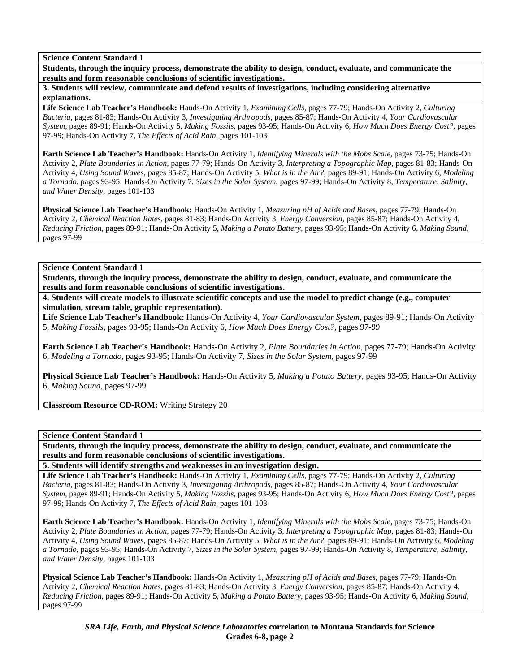**Students, through the inquiry process, demonstrate the ability to design, conduct, evaluate, and communicate the results and form reasonable conclusions of scientific investigations.** 

**3. Students will review, communicate and defend results of investigations, including considering alternative explanations.** 

**Life Science Lab Teacher's Handbook:** Hands-On Activity 1, *Examining Cells,* pages 77-79; Hands-On Activity 2, *Culturing Bacteria,* pages 81-83; Hands-On Activity 3, *Investigating Arthropods,* pages 85-87; Hands-On Activity 4, *Your Cardiovascular System,* pages 89-91; Hands-On Activity 5, *Making Fossils,* pages 93-95; Hands-On Activity 6, *How Much Does Energy Cost?,* pages 97-99; Hands-On Activity 7, *The Effects of Acid Rain,* pages 101-103

**Earth Science Lab Teacher's Handbook:** Hands-On Activity 1, *Identifying Minerals with the Mohs Scale,* pages 73-75; Hands-On Activity 2, *Plate Boundaries in Action,* pages 77-79; Hands-On Activity 3, *Interpreting a Topographic Map,* pages 81-83; Hands-On Activity 4, *Using Sound Waves,* pages 85-87; Hands-On Activity 5, *What is in the Air?,* pages 89-91; Hands-On Activity 6, *Modeling a Tornado,* pages 93-95; Hands-On Activity 7, *Sizes in the Solar System,* pages 97-99; Hands-On Activity 8, *Temperature, Salinity, and Water Density,* pages 101-103

**Physical Science Lab Teacher's Handbook:** Hands-On Activity 1, *Measuring pH of Acids and Bases,* pages 77-79; Hands-On Activity 2, *Chemical Reaction Rates,* pages 81-83; Hands-On Activity 3, *Energy Conversion,* pages 85-87; Hands-On Activity 4, *Reducing Friction,* pages 89-91; Hands-On Activity 5, *Making a Potato Battery,* pages 93-95; Hands-On Activity 6, *Making Sound,* pages 97-99

**Science Content Standard 1** 

**Students, through the inquiry process, demonstrate the ability to design, conduct, evaluate, and communicate the results and form reasonable conclusions of scientific investigations.** 

**4. Students will create models to illustrate scientific concepts and use the model to predict change (e.g., computer simulation, stream table, graphic representation).** 

**Life Science Lab Teacher's Handbook:** Hands-On Activity 4, *Your Cardiovascular System,* pages 89-91; Hands-On Activity 5, *Making Fossils,* pages 93-95; Hands-On Activity 6, *How Much Does Energy Cost?,* pages 97-99

**Earth Science Lab Teacher's Handbook:** Hands-On Activity 2, *Plate Boundaries in Action,* pages 77-79; Hands-On Activity 6, *Modeling a Tornado,* pages 93-95; Hands-On Activity 7, *Sizes in the Solar System,* pages 97-99

**Physical Science Lab Teacher's Handbook:** Hands-On Activity 5, *Making a Potato Battery,* pages 93-95; Hands-On Activity 6, *Making Sound,* pages 97-99

**Classroom Resource CD-ROM:** Writing Strategy 20

**Science Content Standard 1** 

**Students, through the inquiry process, demonstrate the ability to design, conduct, evaluate, and communicate the results and form reasonable conclusions of scientific investigations.** 

**5. Students will identify strengths and weaknesses in an investigation design.** 

**Life Science Lab Teacher's Handbook:** Hands-On Activity 1, *Examining Cells,* pages 77-79; Hands-On Activity 2, *Culturing Bacteria,* pages 81-83; Hands-On Activity 3, *Investigating Arthropods,* pages 85-87; Hands-On Activity 4, *Your Cardiovascular System,* pages 89-91; Hands-On Activity 5, *Making Fossils,* pages 93-95; Hands-On Activity 6, *How Much Does Energy Cost?,* pages 97-99; Hands-On Activity 7, *The Effects of Acid Rain,* pages 101-103

**Earth Science Lab Teacher's Handbook:** Hands-On Activity 1, *Identifying Minerals with the Mohs Scale,* pages 73-75; Hands-On Activity 2, *Plate Boundaries in Action,* pages 77-79; Hands-On Activity 3, *Interpreting a Topographic Map,* pages 81-83; Hands-On Activity 4, *Using Sound Waves,* pages 85-87; Hands-On Activity 5, *What is in the Air?,* pages 89-91; Hands-On Activity 6, *Modeling a Tornado,* pages 93-95; Hands-On Activity 7, *Sizes in the Solar System,* pages 97-99; Hands-On Activity 8, *Temperature, Salinity, and Water Density,* pages 101-103

**Physical Science Lab Teacher's Handbook:** Hands-On Activity 1, *Measuring pH of Acids and Bases,* pages 77-79; Hands-On Activity 2, *Chemical Reaction Rates,* pages 81-83; Hands-On Activity 3, *Energy Conversion,* pages 85-87; Hands-On Activity 4, *Reducing Friction,* pages 89-91; Hands-On Activity 5, *Making a Potato Battery,* pages 93-95; Hands-On Activity 6, *Making Sound,* pages 97-99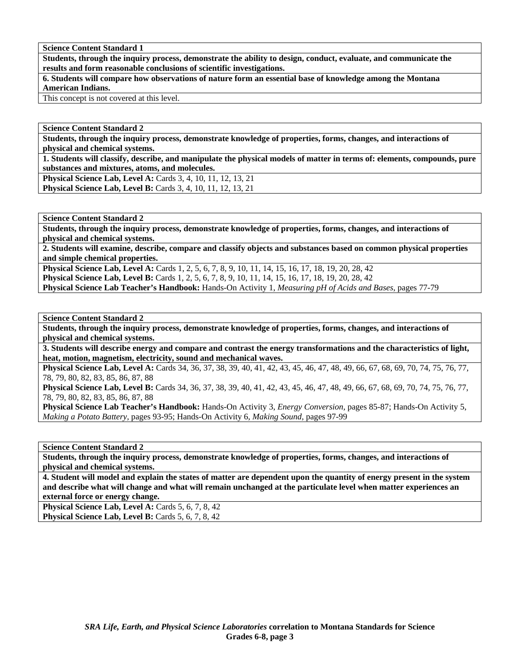**Students, through the inquiry process, demonstrate the ability to design, conduct, evaluate, and communicate the results and form reasonable conclusions of scientific investigations.** 

**6. Students will compare how observations of nature form an essential base of knowledge among the Montana American Indians.** 

This concept is not covered at this level.

**Science Content Standard 2** 

**Students, through the inquiry process, demonstrate knowledge of properties, forms, changes, and interactions of physical and chemical systems.** 

**1. Students will classify, describe, and manipulate the physical models of matter in terms of: elements, compounds, pure substances and mixtures, atoms, and molecules.** 

**Physical Science Lab, Level A: Cards 3, 4, 10, 11, 12, 13, 21 Physical Science Lab, Level B:** Cards 3, 4, 10, 11, 12, 13, 21

**Science Content Standard 2** 

**Students, through the inquiry process, demonstrate knowledge of properties, forms, changes, and interactions of physical and chemical systems.** 

**2. Students will examine, describe, compare and classify objects and substances based on common physical properties and simple chemical properties.** 

**Physical Science Lab, Level A:** Cards 1, 2, 5, 6, 7, 8, 9, 10, 11, 14, 15, 16, 17, 18, 19, 20, 28, 42 **Physical Science Lab, Level B:** Cards 1, 2, 5, 6, 7, 8, 9, 10, 11, 14, 15, 16, 17, 18, 19, 20, 28, 42

**Physical Science Lab Teacher's Handbook:** Hands-On Activity 1, *Measuring pH of Acids and Bases,* pages 77-79

**Science Content Standard 2** 

**Students, through the inquiry process, demonstrate knowledge of properties, forms, changes, and interactions of physical and chemical systems.** 

**3. Students will describe energy and compare and contrast the energy transformations and the characteristics of light, heat, motion, magnetism, electricity, sound and mechanical waves.** 

**Physical Science Lab, Level A:** Cards 34, 36, 37, 38, 39, 40, 41, 42, 43, 45, 46, 47, 48, 49, 66, 67, 68, 69, 70, 74, 75, 76, 77, 78, 79, 80, 82, 83, 85, 86, 87, 88

**Physical Science Lab, Level B:** Cards 34, 36, 37, 38, 39, 40, 41, 42, 43, 45, 46, 47, 48, 49, 66, 67, 68, 69, 70, 74, 75, 76, 77, 78, 79, 80, 82, 83, 85, 86, 87, 88

**Physical Science Lab Teacher's Handbook:** Hands-On Activity 3, *Energy Conversion,* pages 85-87; Hands-On Activity 5, *Making a Potato Battery,* pages 93-95; Hands-On Activity 6, *Making Sound,* pages 97-99

**Science Content Standard 2** 

**Students, through the inquiry process, demonstrate knowledge of properties, forms, changes, and interactions of physical and chemical systems.** 

**4. Student will model and explain the states of matter are dependent upon the quantity of energy present in the system and describe what will change and what will remain unchanged at the particulate level when matter experiences an external force or energy change.** 

Physical Science Lab, Level A: Cards 5, 6, 7, 8, 42 **Physical Science Lab, Level B: Cards 5, 6, 7, 8, 42**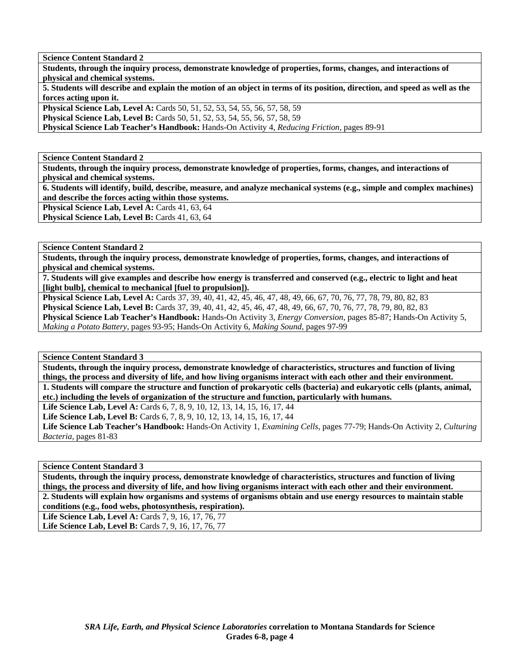**Students, through the inquiry process, demonstrate knowledge of properties, forms, changes, and interactions of physical and chemical systems.** 

**5. Students will describe and explain the motion of an object in terms of its position, direction, and speed as well as the forces acting upon it.** 

**Physical Science Lab, Level A:** Cards 50, 51, 52, 53, 54, 55, 56, 57, 58, 59

**Physical Science Lab, Level B:** Cards 50, 51, 52, 53, 54, 55, 56, 57, 58, 59

**Physical Science Lab Teacher's Handbook:** Hands-On Activity 4, *Reducing Friction,* pages 89-91

**Science Content Standard 2** 

**Students, through the inquiry process, demonstrate knowledge of properties, forms, changes, and interactions of physical and chemical systems.** 

**6. Students will identify, build, describe, measure, and analyze mechanical systems (e.g., simple and complex machines) and describe the forces acting within those systems.** 

Physical Science Lab, Level A: Cards 41, 63, 64

Physical Science Lab, Level B: Cards 41, 63, 64

**Science Content Standard 2** 

**Students, through the inquiry process, demonstrate knowledge of properties, forms, changes, and interactions of physical and chemical systems.** 

**7. Students will give examples and describe how energy is transferred and conserved (e.g., electric to light and heat [light bulb], chemical to mechanical [fuel to propulsion]).** 

**Physical Science Lab, Level A:** Cards 37, 39, 40, 41, 42, 45, 46, 47, 48, 49, 66, 67, 70, 76, 77, 78, 79, 80, 82, 83 **Physical Science Lab, Level B:** Cards 37, 39, 40, 41, 42, 45, 46, 47, 48, 49, 66, 67, 70, 76, 77, 78, 79, 80, 82, 83 **Physical Science Lab Teacher's Handbook:** Hands-On Activity 3, *Energy Conversion,* pages 85-87; Hands-On Activity 5, *Making a Potato Battery,* pages 93-95; Hands-On Activity 6, *Making Sound,* pages 97-99

**Science Content Standard 3** 

**Students, through the inquiry process, demonstrate knowledge of characteristics, structures and function of living things, the process and diversity of life, and how living organisms interact with each other and their environment. 1. Students will compare the structure and function of prokaryotic cells (bacteria) and eukaryotic cells (plants, animal, etc.) including the levels of organization of the structure and function, particularly with humans.** 

Life Science Lab, Level A: Cards 6, 7, 8, 9, 10, 12, 13, 14, 15, 16, 17, 44

**Life Science Lab, Level B:** Cards 6, 7, 8, 9, 10, 12, 13, 14, 15, 16, 17, 44

**Life Science Lab Teacher's Handbook:** Hands-On Activity 1, *Examining Cells,* pages 77-79; Hands-On Activity 2, *Culturing Bacteria,* pages 81-83

**Science Content Standard 3** 

**Students, through the inquiry process, demonstrate knowledge of characteristics, structures and function of living things, the process and diversity of life, and how living organisms interact with each other and their environment. 2. Students will explain how organisms and systems of organisms obtain and use energy resources to maintain stable conditions (e.g., food webs, photosynthesis, respiration).** 

Life Science Lab, Level A: Cards 7, 9, 16, 17, 76, 77 Life Science Lab, Level B: Cards 7, 9, 16, 17, 76, 77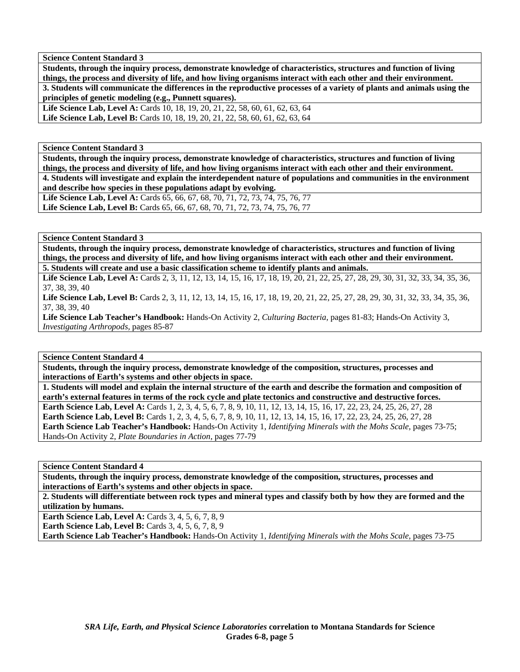**Students, through the inquiry process, demonstrate knowledge of characteristics, structures and function of living things, the process and diversity of life, and how living organisms interact with each other and their environment. 3. Students will communicate the differences in the reproductive processes of a variety of plants and animals using the principles of genetic modeling (e.g., Punnett squares).** 

Life Science Lab, Level A: Cards 10, 18, 19, 20, 21, 22, 58, 60, 61, 62, 63, 64 Life Science Lab, Level B: Cards 10, 18, 19, 20, 21, 22, 58, 60, 61, 62, 63, 64

**Science Content Standard 3** 

**Students, through the inquiry process, demonstrate knowledge of characteristics, structures and function of living things, the process and diversity of life, and how living organisms interact with each other and their environment. 4. Students will investigate and explain the interdependent nature of populations and communities in the environment and describe how species in these populations adapt by evolving.** 

Life Science Lab, Level A: Cards 65, 66, 67, 68, 70, 71, 72, 73, 74, 75, 76, 77 Life Science Lab, Level B: Cards 65, 66, 67, 68, 70, 71, 72, 73, 74, 75, 76, 77

**Science Content Standard 3** 

**Students, through the inquiry process, demonstrate knowledge of characteristics, structures and function of living things, the process and diversity of life, and how living organisms interact with each other and their environment. 5. Students will create and use a basic classification scheme to identify plants and animals.** 

Life Science Lab, Level A: Cards 2, 3, 11, 12, 13, 14, 15, 16, 17, 18, 19, 20, 21, 22, 25, 27, 28, 29, 30, 31, 32, 33, 34, 35, 36, 37, 38, 39, 40

Life Science Lab, Level B: Cards 2, 3, 11, 12, 13, 14, 15, 16, 17, 18, 19, 20, 21, 22, 25, 27, 28, 29, 30, 31, 32, 33, 34, 35, 36, 37, 38, 39, 40

**Life Science Lab Teacher's Handbook:** Hands-On Activity 2, *Culturing Bacteria,* pages 81-83; Hands-On Activity 3, *Investigating Arthropods,* pages 85-87

**Science Content Standard 4** 

**Students, through the inquiry process, demonstrate knowledge of the composition, structures, processes and interactions of Earth's systems and other objects in space.** 

**1. Students will model and explain the internal structure of the earth and describe the formation and composition of earth's external features in terms of the rock cycle and plate tectonics and constructive and destructive forces.** 

**Earth Science Lab, Level A:** Cards 1, 2, 3, 4, 5, 6, 7, 8, 9, 10, 11, 12, 13, 14, 15, 16, 17, 22, 23, 24, 25, 26, 27, 28 **Earth Science Lab, Level B:** Cards 1, 2, 3, 4, 5, 6, 7, 8, 9, 10, 11, 12, 13, 14, 15, 16, 17, 22, 23, 24, 25, 26, 27, 28 **Earth Science Lab Teacher's Handbook:** Hands-On Activity 1, *Identifying Minerals with the Mohs Scale,* pages 73-75; Hands-On Activity 2, *Plate Boundaries in Action,* pages 77-79

**Science Content Standard 4** 

**Students, through the inquiry process, demonstrate knowledge of the composition, structures, processes and interactions of Earth's systems and other objects in space.** 

**2. Students will differentiate between rock types and mineral types and classify both by how they are formed and the utilization by humans.** 

**Earth Science Lab, Level A: Cards 3, 4, 5, 6, 7, 8, 9** 

**Earth Science Lab, Level B:** Cards 3, 4, 5, 6, 7, 8, 9

**Earth Science Lab Teacher's Handbook:** Hands-On Activity 1, *Identifying Minerals with the Mohs Scale,* pages 73-75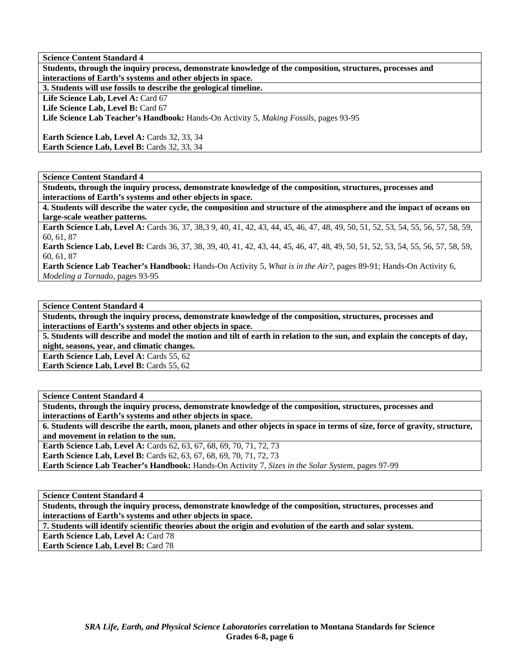**Science Content Standard 4 Students, through the inquiry process, demonstrate knowledge of the composition, structures, processes and interactions of Earth's systems and other objects in space. 3. Students will use fossils to describe the geological timeline.** 

Life Science Lab, Level A: Card 67 Life Science Lab, Level B: Card 67

**Life Science Lab Teacher's Handbook:** Hands-On Activity 5, *Making Fossils,* pages 93-95

**Earth Science Lab, Level A: Cards 32, 33, 34** Earth Science Lab, Level B: Cards 32, 33, 34

**Science Content Standard 4** 

**Students, through the inquiry process, demonstrate knowledge of the composition, structures, processes and interactions of Earth's systems and other objects in space.** 

**4. Students will describe the water cycle, the composition and structure of the atmosphere and the impact of oceans on large-scale weather patterns.** 

**Earth Science Lab, Level A:** Cards 36, 37, 38,3 9, 40, 41, 42, 43, 44, 45, 46, 47, 48, 49, 50, 51, 52, 53, 54, 55, 56, 57, 58, 59, 60, 61, 87

**Earth Science Lab, Level B:** Cards 36, 37, 38, 39, 40, 41, 42, 43, 44, 45, 46, 47, 48, 49, 50, 51, 52, 53, 54, 55, 56, 57, 58, 59, 60, 61, 87

**Earth Science Lab Teacher's Handbook:** Hands-On Activity 5, *What is in the Air?,* pages 89-91; Hands-On Activity 6, *Modeling a Tornado,* pages 93-95

**Science Content Standard 4** 

**Students, through the inquiry process, demonstrate knowledge of the composition, structures, processes and interactions of Earth's systems and other objects in space.** 

**5. Students will describe and model the motion and tilt of earth in relation to the sun, and explain the concepts of day, night, seasons, year, and climatic changes.** 

**Earth Science Lab, Level A: Cards 55, 62** 

**Earth Science Lab, Level B: Cards 55, 62** 

**Science Content Standard 4** 

**Students, through the inquiry process, demonstrate knowledge of the composition, structures, processes and interactions of Earth's systems and other objects in space.** 

**6. Students will describe the earth, moon, planets and other objects in space in terms of size, force of gravity, structure, and movement in relation to the sun.** 

**Earth Science Lab, Level A: Cards 62, 63, 67, 68, 69, 70, 71, 72, 73** 

**Earth Science Lab, Level B:** Cards 62, 63, 67, 68, 69, 70, 71, 72, 73

**Earth Science Lab Teacher's Handbook:** Hands-On Activity 7, *Sizes in the Solar System,* pages 97-99

**Science Content Standard 4** 

**Students, through the inquiry process, demonstrate knowledge of the composition, structures, processes and interactions of Earth's systems and other objects in space.** 

**7. Students will identify scientific theories about the origin and evolution of the earth and solar system.** 

**Earth Science Lab, Level A: Card 78** 

**Earth Science Lab, Level B: Card 78**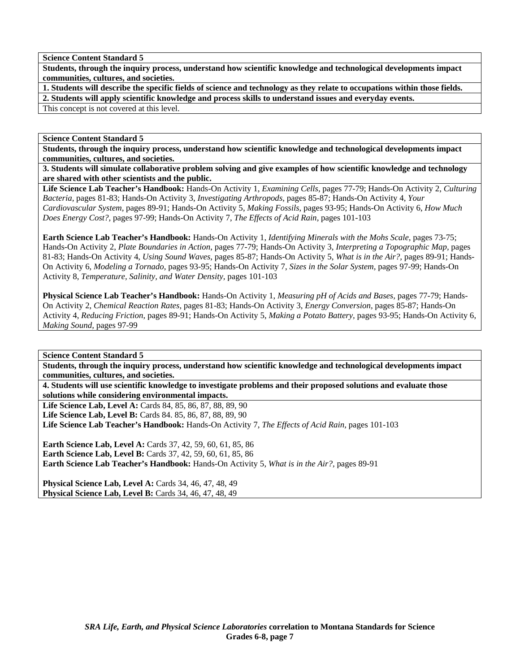**Students, through the inquiry process, understand how scientific knowledge and technological developments impact communities, cultures, and societies.** 

**1. Students will describe the specific fields of science and technology as they relate to occupations within those fields. 2. Students will apply scientific knowledge and process skills to understand issues and everyday events.** 

This concept is not covered at this level.

**Science Content Standard 5** 

**Students, through the inquiry process, understand how scientific knowledge and technological developments impact communities, cultures, and societies.** 

**3. Students will simulate collaborative problem solving and give examples of how scientific knowledge and technology are shared with other scientists and the public.** 

**Life Science Lab Teacher's Handbook:** Hands-On Activity 1, *Examining Cells,* pages 77-79; Hands-On Activity 2, *Culturing Bacteria,* pages 81-83; Hands-On Activity 3, *Investigating Arthropods,* pages 85-87; Hands-On Activity 4, *Your Cardiovascular System,* pages 89-91; Hands-On Activity 5, *Making Fossils,* pages 93-95; Hands-On Activity 6, *How Much Does Energy Cost?,* pages 97-99; Hands-On Activity 7, *The Effects of Acid Rain,* pages 101-103

**Earth Science Lab Teacher's Handbook:** Hands-On Activity 1, *Identifying Minerals with the Mohs Scale,* pages 73-75; Hands-On Activity 2, *Plate Boundaries in Action,* pages 77-79; Hands-On Activity 3, *Interpreting a Topographic Map,* pages 81-83; Hands-On Activity 4, *Using Sound Waves,* pages 85-87; Hands-On Activity 5, *What is in the Air?,* pages 89-91; Hands-On Activity 6, *Modeling a Tornado,* pages 93-95; Hands-On Activity 7, *Sizes in the Solar System,* pages 97-99; Hands-On Activity 8, *Temperature, Salinity, and Water Density,* pages 101-103

**Physical Science Lab Teacher's Handbook:** Hands-On Activity 1, *Measuring pH of Acids and Bases,* pages 77-79; Hands-On Activity 2, *Chemical Reaction Rates,* pages 81-83; Hands-On Activity 3, *Energy Conversion,* pages 85-87; Hands-On Activity 4, *Reducing Friction,* pages 89-91; Hands-On Activity 5, *Making a Potato Battery,* pages 93-95; Hands-On Activity 6, *Making Sound,* pages 97-99

**Science Content Standard 5** 

**Students, through the inquiry process, understand how scientific knowledge and technological developments impact communities, cultures, and societies.** 

**4. Students will use scientific knowledge to investigate problems and their proposed solutions and evaluate those solutions while considering environmental impacts.** 

**Life Science Lab, Level A:** Cards 84, 85, 86, 87, 88, 89, 90 **Life Science Lab, Level B:** Cards 84. 85, 86, 87, 88, 89, 90 **Life Science Lab Teacher's Handbook:** Hands-On Activity 7, *The Effects of Acid Rain,* pages 101-103

**Earth Science Lab, Level A:** Cards 37, 42, 59, 60, 61, 85, 86 **Earth Science Lab, Level B:** Cards 37, 42, 59, 60, 61, 85, 86 **Earth Science Lab Teacher's Handbook:** Hands-On Activity 5, *What is in the Air?,* pages 89-91

**Physical Science Lab, Level A:** Cards 34, 46, 47, 48, 49 **Physical Science Lab, Level B: Cards 34, 46, 47, 48, 49**